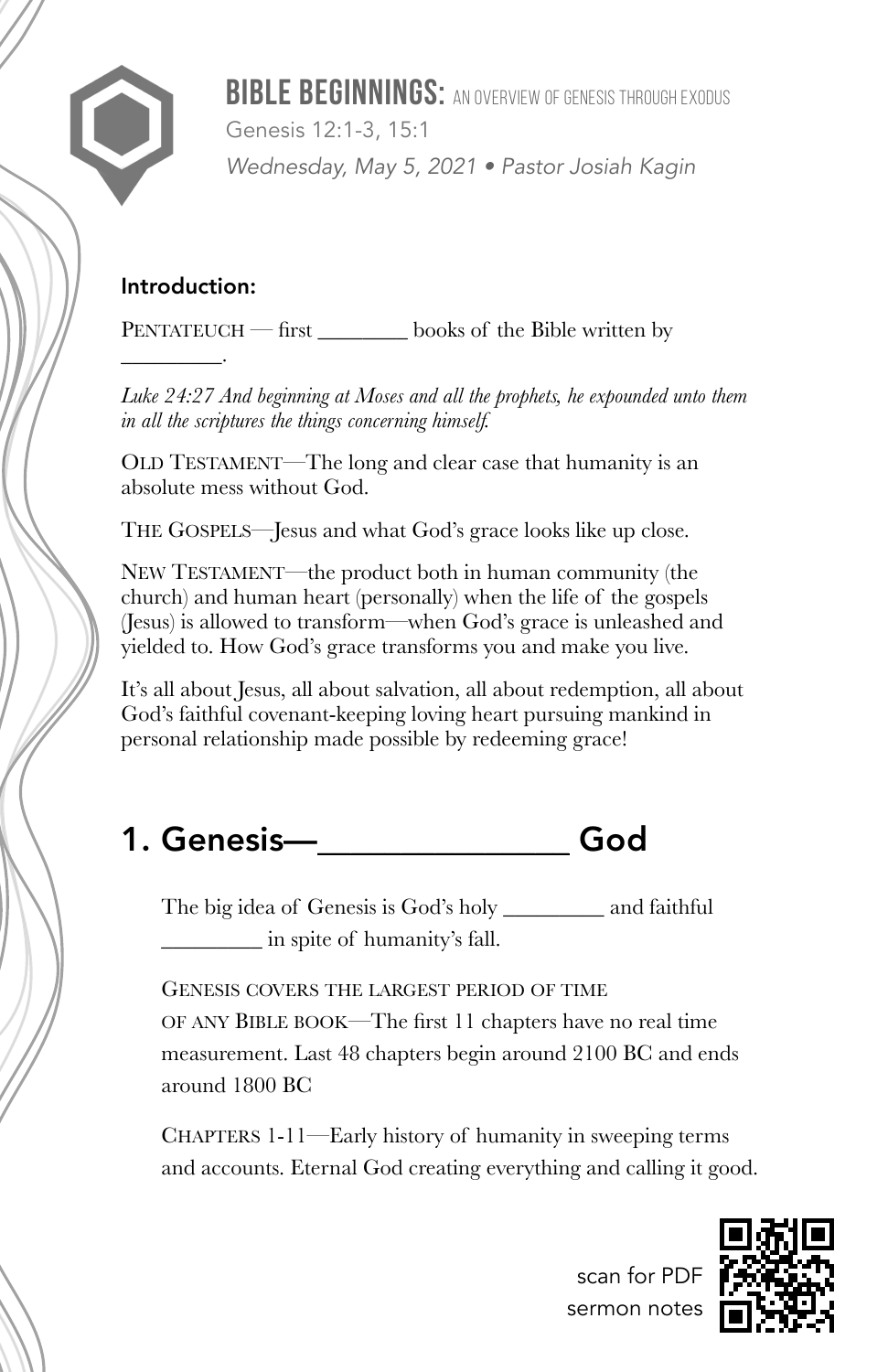**BIBLE BEGINNINGS:** AN OVERVIEW OF GENESIS THROUGH EXODUS Genesis 12:1-3, 15:1 *Wednesday, May 5, 2021 • Pastor Josiah Kagin*

### Introduction:

 $\overline{\phantom{a}}$  .

PENTATEUCH — first \_\_\_\_\_\_\_\_ books of the Bible written by

*Luke 24:27 And beginning at Moses and all the prophets, he expounded unto them in all the scriptures the things concerning himself.*

OLD TESTAMENT—The long and clear case that humanity is an absolute mess without God.

THE GOSPELS—Jesus and what God's grace looks like up close.

NEW TESTAMENT—the product both in human community (the church) and human heart (personally) when the life of the gospels (Jesus) is allowed to transform—when God's grace is unleashed and yielded to. How God's grace transforms you and make you live.

It's all about Jesus, all about salvation, all about redemption, all about God's faithful covenant-keeping loving heart pursuing mankind in personal relationship made possible by redeeming grace!

# 1. Genesis—\_\_\_\_\_\_\_\_\_\_\_\_\_\_\_ God

The big idea of Genesis is God's holy \_\_\_\_\_\_\_\_\_ and faithful \_\_\_\_\_\_\_\_\_ in spite of humanity's fall.

GENESIS COVERS THE LARGEST PERIOD OF TIME OF ANY BIBLE BOOK—The first 11 chapters have no real time measurement. Last 48 chapters begin around 2100 BC and ends around 1800 BC

CHAPTERS 1-11—Early history of humanity in sweeping terms and accounts. Eternal God creating everything and calling it good.

scan for PDF sermon notes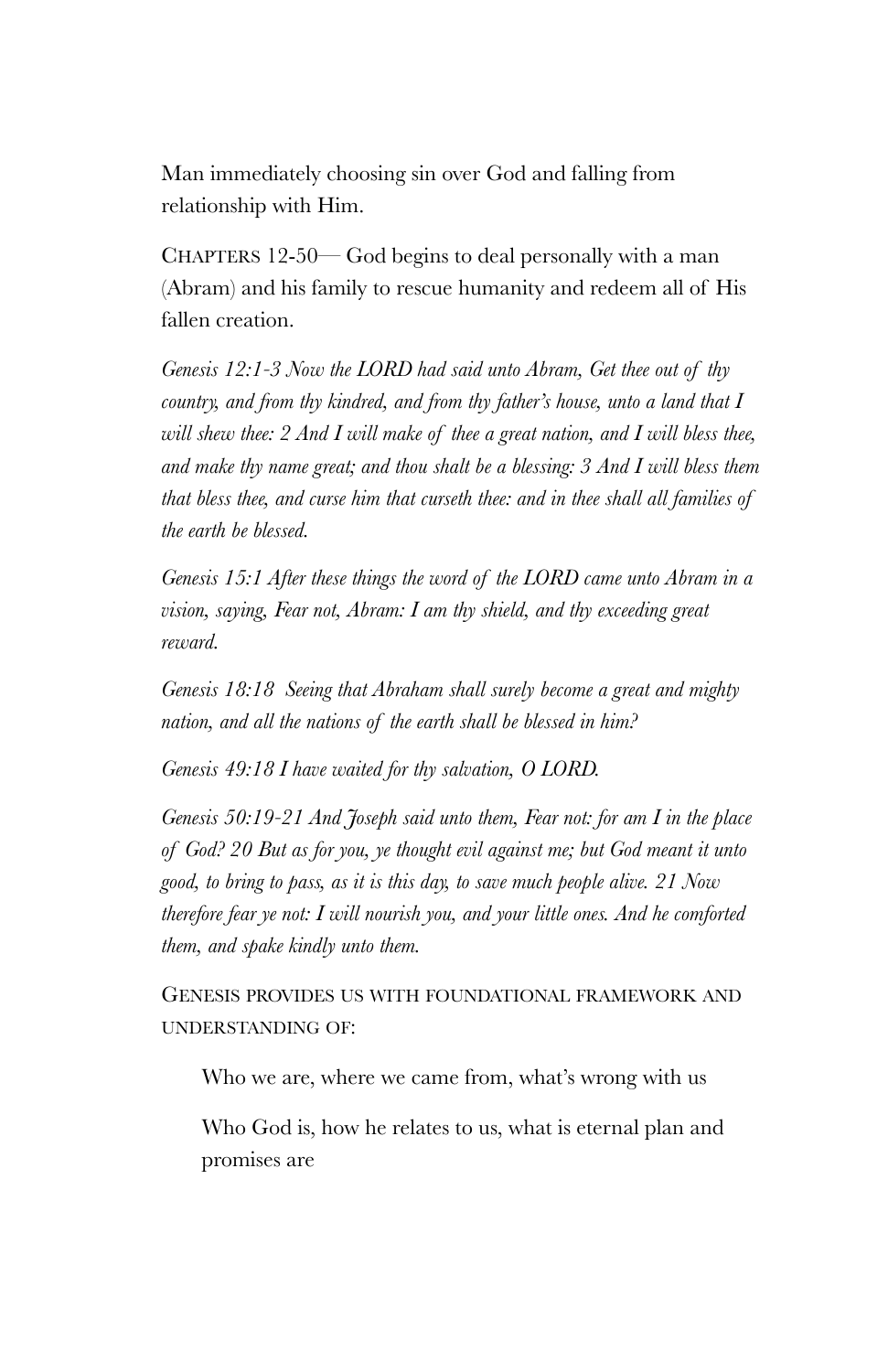Man immediately choosing sin over God and falling from relationship with Him.

CHAPTERS 12-50— God begins to deal personally with a man (Abram) and his family to rescue humanity and redeem all of His fallen creation.

*Genesis 12:1-3 Now the LORD had said unto Abram, Get thee out of thy country, and from thy kindred, and from thy father's house, unto a land that I will shew thee: 2 And I will make of thee a great nation, and I will bless thee, and make thy name great; and thou shalt be a blessing: 3 And I will bless them that bless thee, and curse him that curseth thee: and in thee shall all families of the earth be blessed.*

*Genesis 15:1 After these things the word of the LORD came unto Abram in a vision, saying, Fear not, Abram: I am thy shield, and thy exceeding great reward.*

*Genesis 18:18 Seeing that Abraham shall surely become a great and mighty nation, and all the nations of the earth shall be blessed in him?*

*Genesis 49:18 I have waited for thy salvation, O LORD.*

*Genesis 50:19-21 And Joseph said unto them, Fear not: for am I in the place of God? 20 But as for you, ye thought evil against me; but God meant it unto good, to bring to pass, as it is this day, to save much people alive. 21 Now therefore fear ye not: I will nourish you, and your little ones. And he comforted them, and spake kindly unto them.*

GENESIS PROVIDES US WITH FOUNDATIONAL FRAMEWORK AND UNDERSTANDING OF:

Who we are, where we came from, what's wrong with us

Who God is, how he relates to us, what is eternal plan and promises are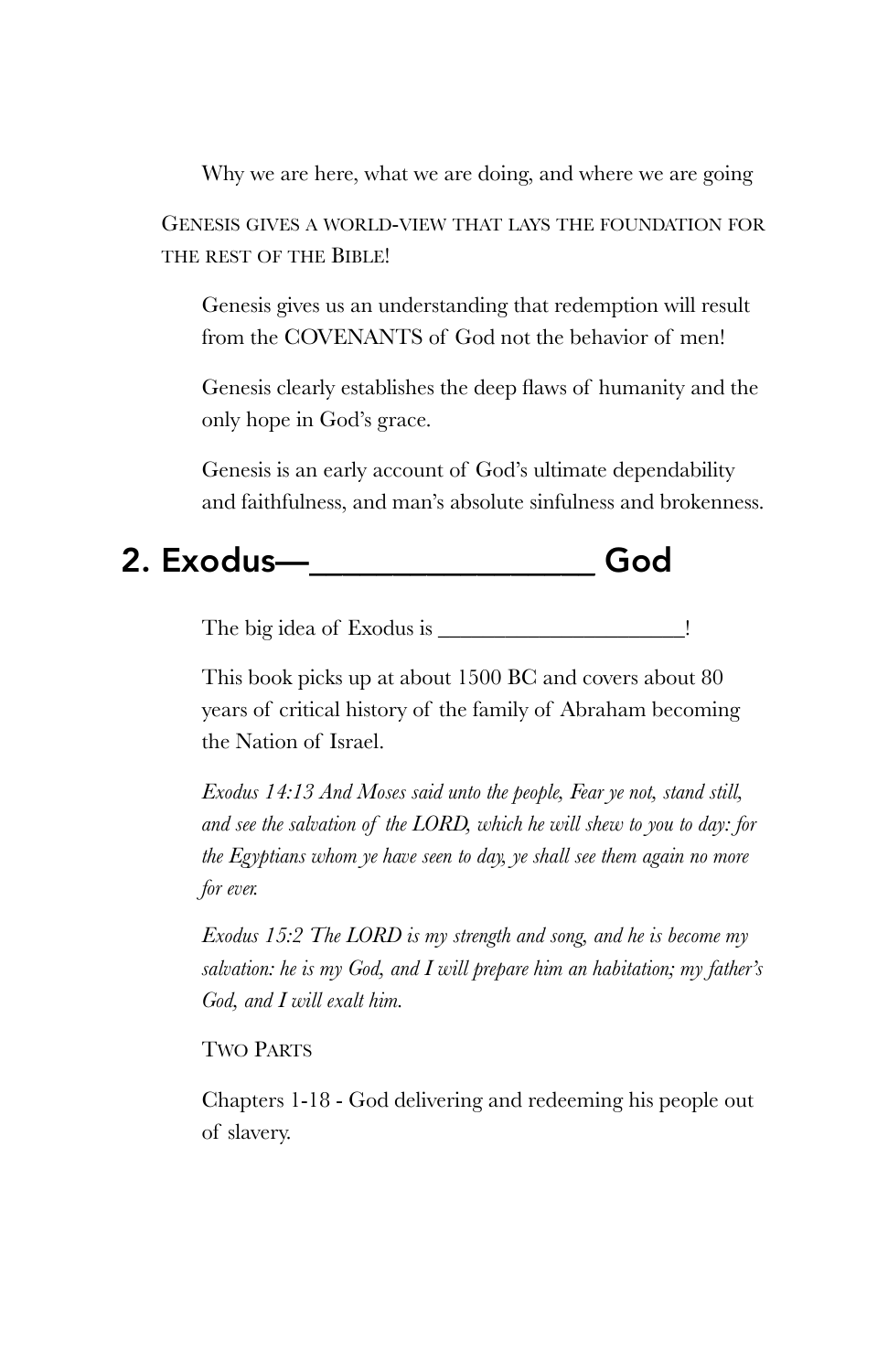Why we are here, what we are doing, and where we are going GENESIS GIVES A WORLD-VIEW THAT LAYS THE FOUNDATION FOR THE REST OF THE BIBLE!

Genesis gives us an understanding that redemption will result from the COVENANTS of God not the behavior of men!

Genesis clearly establishes the deep flaws of humanity and the only hope in God's grace.

Genesis is an early account of God's ultimate dependability and faithfulness, and man's absolute sinfulness and brokenness.

## 2. Exodus—\_\_\_\_\_\_\_\_\_\_\_\_\_\_\_\_\_ God

The big idea of Exodus is \_\_\_\_\_\_\_\_\_\_\_\_\_\_\_\_\_\_\_\_\_\_!

This book picks up at about 1500 BC and covers about 80 years of critical history of the family of Abraham becoming the Nation of Israel.

*Exodus 14:13 And Moses said unto the people, Fear ye not, stand still, and see the salvation of the LORD, which he will shew to you to day: for the Egyptians whom ye have seen to day, ye shall see them again no more for ever.*

*Exodus 15:2 The LORD is my strength and song, and he is become my salvation: he is my God, and I will prepare him an habitation; my father's God, and I will exalt him.*

### TWO PARTS

Chapters 1-18 - God delivering and redeeming his people out of slavery.